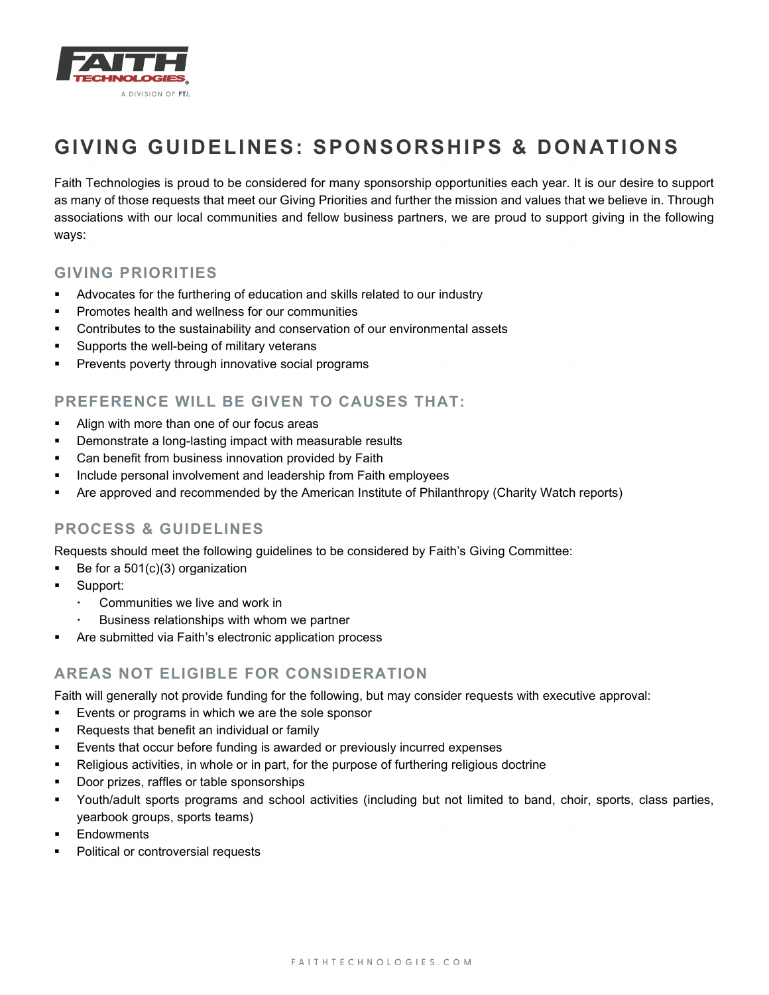

# **GIVING GUIDELINES: SPONSORSHIPS & DONATIONS**

Faith Technologies is proud to be considered for many sponsorship opportunities each year. It is our desire to support as many of those requests that meet our Giving Priorities and further the mission and values that we believe in. Through associations with our local communities and fellow business partners, we are proud to support giving in the following ways:

#### **GIVING PRIORITIES**

- Advocates for the furthering of education and skills related to our industry
- **Promotes health and wellness for our communities**
- Contributes to the sustainability and conservation of our environmental assets
- **Supports the well-being of military veterans**
- **Prevents poverty through innovative social programs**

## **PREFERENCE WILL BE GIVEN TO CAUSES THAT:**

- Align with more than one of our focus areas
- **•** Demonstrate a long-lasting impact with measurable results
- **•** Can benefit from business innovation provided by Faith
- **Include personal involvement and leadership from Faith employees**
- Are approved and recommended by the American Institute of Philanthropy (Charity Watch reports)

#### **PROCESS & GUIDELINES**

Requests should meet the following guidelines to be considered by Faith's Giving Committee:

- Be for a  $501(c)(3)$  organization
- **Support:** 
	- Communities we live and work in
	- Business relationships with whom we partner
- Are submitted via Faith's electronic application process

## **AREAS NOT ELIGIBLE FOR CONSIDERATION**

Faith will generally not provide funding for the following, but may consider requests with executive approval:

- **Events or programs in which we are the sole sponsor**
- **Requests that benefit an individual or family**
- Events that occur before funding is awarded or previously incurred expenses
- Religious activities, in whole or in part, for the purpose of furthering religious doctrine
- **Door prizes, raffles or table sponsorships**
- Youth/adult sports programs and school activities (including but not limited to band, choir, sports, class parties, yearbook groups, sports teams)
- **Endowments**
- **Political or controversial requests**